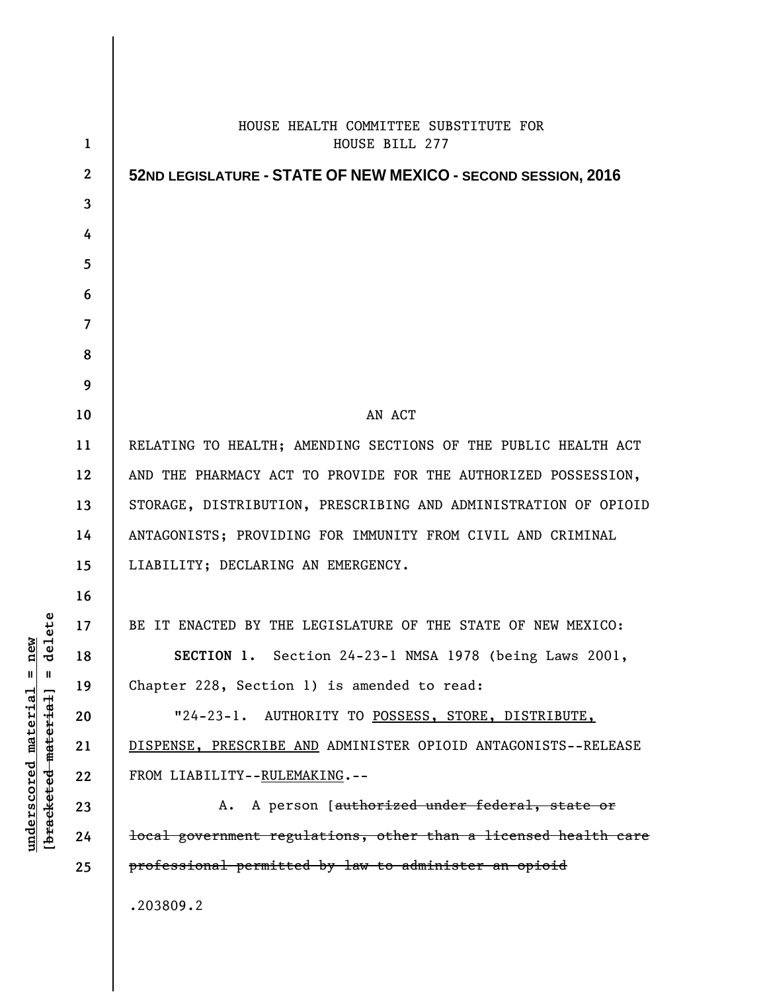| $\mathbf{1}$     | HOUSE HEALTH COMMITTEE SUBSTITUTE FOR<br>HOUSE BILL 277                    |
|------------------|----------------------------------------------------------------------------|
| $\boldsymbol{2}$ | 52ND LEGISLATURE - STATE OF NEW MEXICO - SECOND SESSION, 2016              |
| 3                |                                                                            |
| 4                |                                                                            |
| 5                |                                                                            |
| 6                |                                                                            |
| $\overline{7}$   |                                                                            |
| 8                |                                                                            |
| 9                |                                                                            |
| 10               | AN ACT                                                                     |
| 11               | RELATING TO HEALTH; AMENDING SECTIONS OF THE PUBLIC HEALTH ACT             |
| 12               | AND THE PHARMACY ACT TO PROVIDE FOR THE AUTHORIZED POSSESSION,             |
| 13               | STORAGE, DISTRIBUTION, PRESCRIBING AND ADMINISTRATION OF OPIOID            |
| 14               | ANTAGONISTS; PROVIDING FOR IMMUNITY FROM CIVIL AND CRIMINAL                |
| 15               | LIABILITY; DECLARING AN EMERGENCY.                                         |
| 16               |                                                                            |
| 17               | BE IT ENACTED BY THE LEGISLATURE OF THE STATE OF NEW MEXICO:               |
| 18               | SECTION 1. Section 24-23-1 NMSA 1978 (being Laws 2001,                     |
| 19               | Chapter 228, Section 1) is amended to read:                                |
| 20               | $"24-23-1.$<br>AUTHORITY TO POSSESS, STORE, DISTRIBUTE,                    |
| 21               | DISPENSE, PRESCRIBE AND ADMINISTER OPIOID ANTAGONISTS--RELEASE             |
| 22               | FROM LIABILITY--RULEMAKING.--                                              |
| 23               | A. A person [authorized under federal, state or                            |
| 24               | <del>local government regulations, other than a licensed health care</del> |
| 25               | professional permitted by law to administer an opioid                      |
|                  | .203809.2                                                                  |
|                  |                                                                            |

 $\mathsf{l}$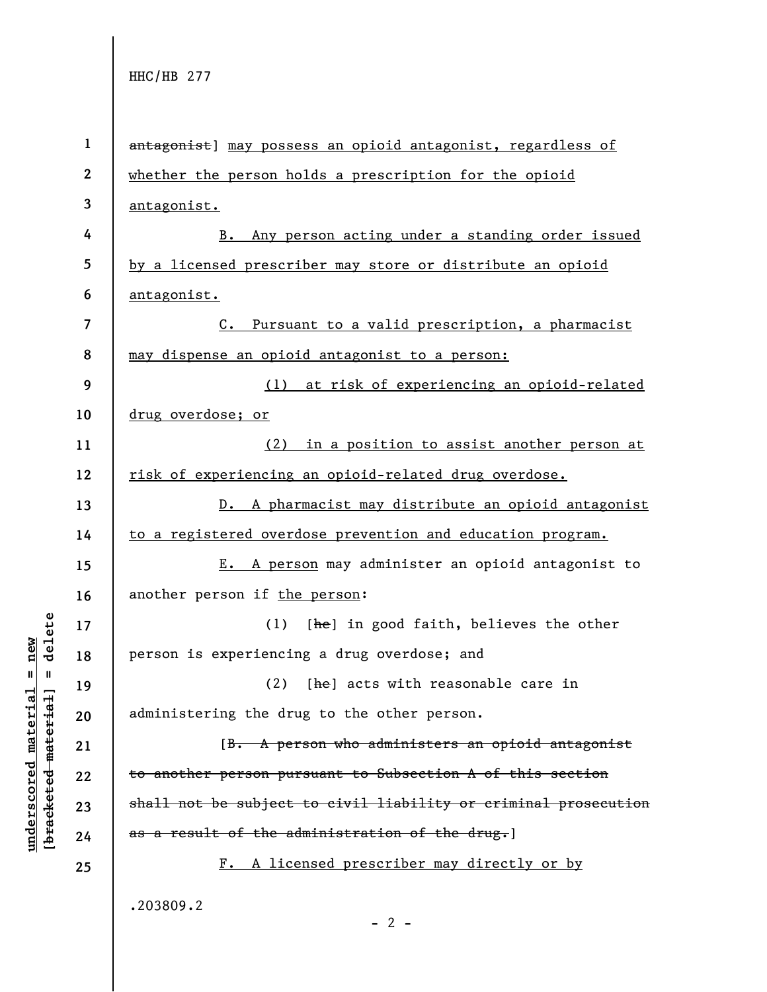**underscored material = new [bracketed material] = delete**

 $b$ racketed material] = delete  $anderscored material = new$ 

**1 2 3 4 5 6 7 8 9 10 11 12 13 14 15 16 17 18 19 20 21 22 23 24 25**  antagonist] may possess an opioid antagonist, regardless of whether the person holds a prescription for the opioid antagonist. B. Any person acting under a standing order issued by a licensed prescriber may store or distribute an opioid antagonist. C. Pursuant to a valid prescription, a pharmacist may dispense an opioid antagonist to a person: (1) at risk of experiencing an opioid-related drug overdose; or (2) in a position to assist another person at risk of experiencing an opioid-related drug overdose. D. A pharmacist may distribute an opioid antagonist to a registered overdose prevention and education program. E. A person may administer an opioid antagonist to another person if the person: (1)  $[he]$  in good faith, believes the other person is experiencing a drug overdose; and (2)  $[he]$  acts with reasonable care in administering the drug to the other person. [B. A person who administers an opioid antagonist to another person pursuant to Subsection A of this section shall not be subject to civil liability or criminal prosecution as a result of the administration of the drug.] F. A licensed prescriber may directly or by .203809.2  $- 2 -$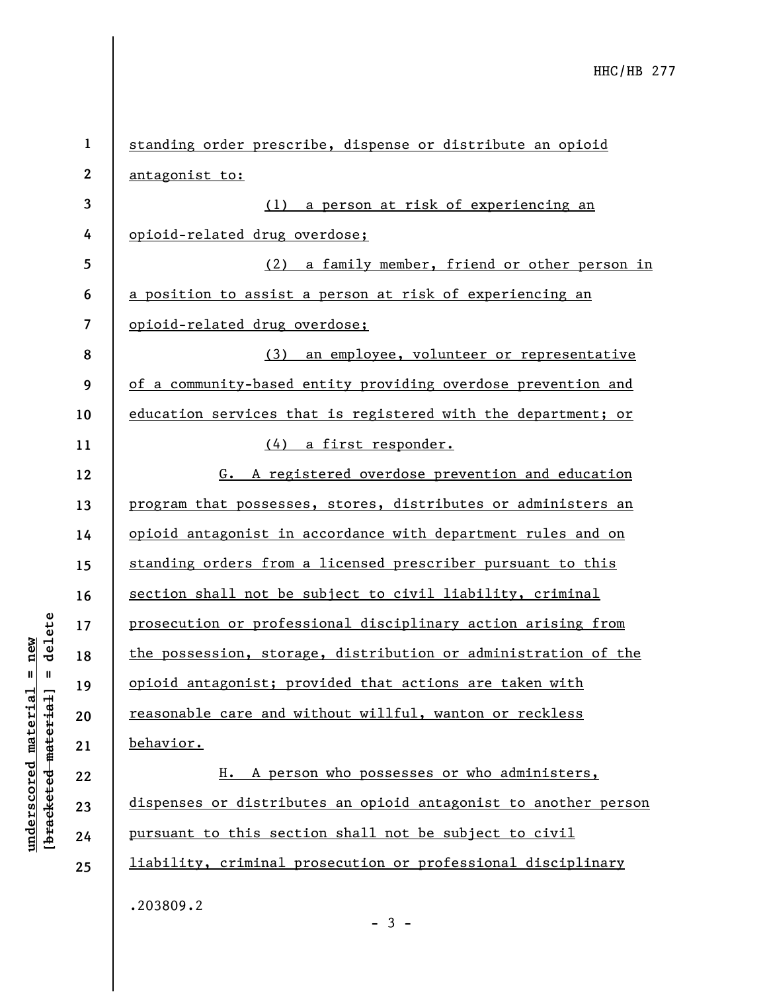| $\mathbf{1}$ | standing order prescribe, dispense or distribute an opioid      |
|--------------|-----------------------------------------------------------------|
| $\mathbf{2}$ | antagonist to:                                                  |
| 3            | (1) a person at risk of experiencing an                         |
| 4            | opioid-related drug overdose;                                   |
| 5            | (2) a family member, friend or other person in                  |
| 6            | a position to assist a person at risk of experiencing an        |
| 7            | opioid-related drug overdose;                                   |
| 8            | (3) an employee, volunteer or representative                    |
| 9            | of a community-based entity providing overdose prevention and   |
| 10           | education services that is registered with the department; or   |
| 11           | (4) a first responder.                                          |
| 12           | G. A registered overdose prevention and education               |
| 13           | program that possesses, stores, distributes or administers an   |
| 14           | opioid antagonist in accordance with department rules and on    |
| 15           | standing orders from a licensed prescriber pursuant to this     |
| 16           | section shall not be subject to civil liability, criminal       |
| 17           | prosecution or professional disciplinary action arising from    |
| 18           | the possession, storage, distribution or administration of the  |
| 19           | opioid antagonist; provided that actions are taken with         |
| 20           | reasonable care and without willful, wanton or reckless         |
| 21           | behavior.                                                       |
| 22           | H. A person who possesses or who administers,                   |
| 23           | dispenses or distributes an opioid antagonist to another person |
| 24           | pursuant to this section shall not be subject to civil          |
| 25           | liability, criminal prosecution or professional disciplinary    |
|              | .203809.2                                                       |

- 3 -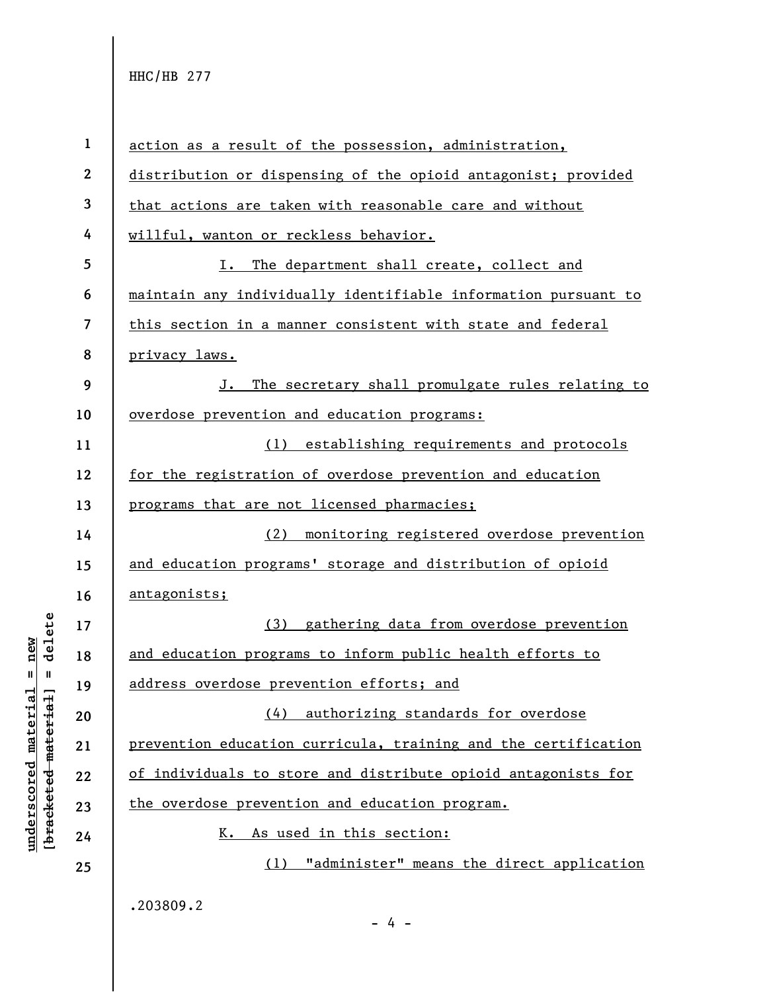|                     | $\mathbf{1}$     | action as a result of the possession, administration,          |
|---------------------|------------------|----------------------------------------------------------------|
|                     | $\boldsymbol{2}$ | distribution or dispensing of the opioid antagonist; provided  |
|                     | 3                | that actions are taken with reasonable care and without        |
|                     | 4                | willful, wanton or reckless behavior.                          |
|                     | 5                | The department shall create, collect and<br>I.                 |
|                     | 6                | maintain any individually identifiable information pursuant to |
|                     | $\overline{7}$   | this section in a manner consistent with state and federal     |
|                     | 8                | privacy laws.                                                  |
|                     | 9                | The secretary shall promulgate rules relating to<br>J.         |
|                     | 10               | overdose prevention and education programs:                    |
|                     | 11               | (1) establishing requirements and protocols                    |
|                     | 12               | for the registration of overdose prevention and education      |
|                     | 13               | programs that are not licensed pharmacies;                     |
|                     | 14               | (2) monitoring registered overdose prevention                  |
|                     | 15               | and education programs' storage and distribution of opioid     |
|                     | 16               | antagonists;                                                   |
| delete              | 17               | (3) gathering data from overdose prevention                    |
|                     | 18               | and education programs to inform public health efforts to      |
| Ш                   | 19               | address overdose prevention efforts; and                       |
|                     | 20               | (4) authorizing standards for overdose                         |
|                     | 21               | prevention education curricula, training and the certification |
| bracketed material] | 22               | of individuals to store and distribute opioid antagonists for  |
|                     | 23               | the overdose prevention and education program.                 |
|                     | 24               | As used in this section:<br>к.                                 |
|                     | 25               | "administer" means the direct application<br>(1)               |
|                     |                  | .203809.2<br>$-4 -$                                            |

 $\frac{\text{underscored material = new}}{\text{mean}}$ **underscored material = new**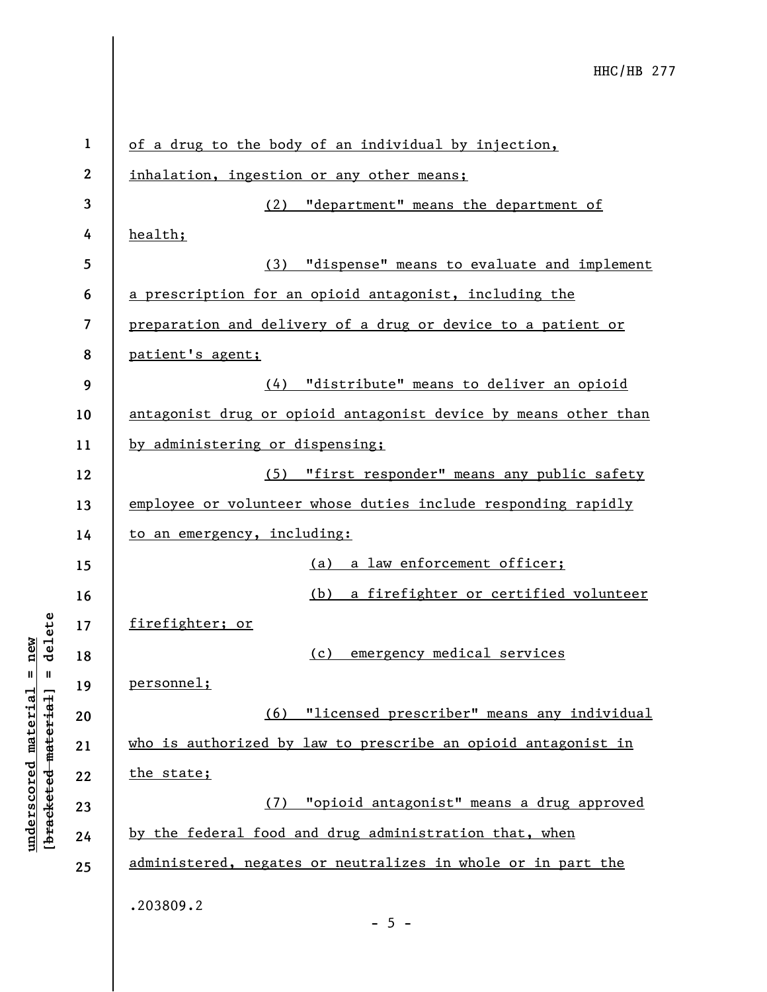| $\mathbf{1}$ | of a drug to the body of an individual by injection,            |
|--------------|-----------------------------------------------------------------|
| $\mathbf{2}$ | inhalation, ingestion or any other means:                       |
| 3            | "department" means the department of<br>(2)                     |
| 4            | health;                                                         |
| 5            | (3) "dispense" means to evaluate and implement                  |
| 6            | a prescription for an opioid antagonist, including the          |
| 7            | preparation and delivery of a drug or device to a patient or    |
| 8            | patient's agent;                                                |
| 9            | (4) "distribute" means to deliver an opioid                     |
| 10           | antagonist drug or opioid antagonist device by means other than |
| 11           | by administering or dispensing;                                 |
| 12           | (5) "first responder" means any public safety                   |
| 13           | employee or volunteer whose duties include responding rapidly   |
| 14           | to an emergency, including:                                     |
| 15           | (a) a law enforcement officer;                                  |
| 16           | a firefighter or certified volunteer<br>(b)                     |
| 17           | firefighter; or                                                 |
| 18           | emergency medical services<br>(c)                               |
| 19           | personnel;                                                      |
| 20           | (6) "licensed prescriber" means any individual                  |
| 21           | who is authorized by law to prescribe an opioid antagonist in   |
| 22           | the state;                                                      |
| 23           | (7) "opioid antagonist" means a drug approved                   |
| 24           | by the federal food and drug administration that, when          |
| 25           | administered, negates or neutralizes in whole or in part the    |
|              | .203809.2<br>$-5 -$                                             |

**underscored material = new [bracketed material] = delete**

 $[bracketeed-materiat] = delete$  $underscored material = new$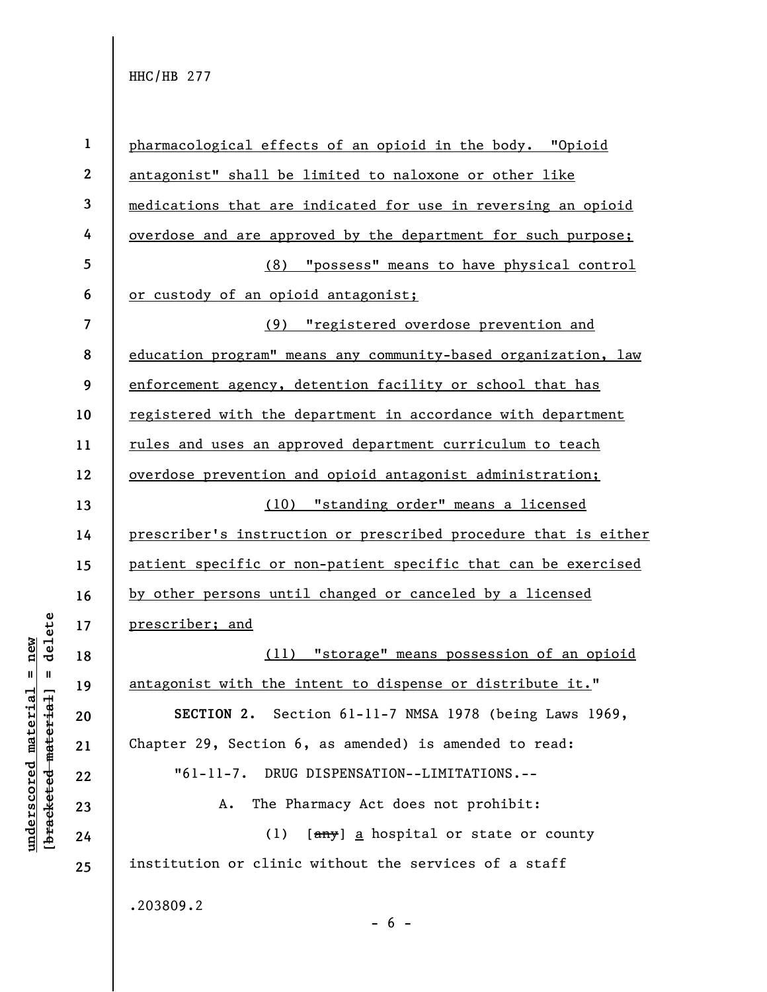|                     | $\mathbf{1}$            | pharmacological effects of an opioid in the body. "Opioid       |
|---------------------|-------------------------|-----------------------------------------------------------------|
|                     | $\mathbf{2}$            | antagonist" shall be limited to naloxone or other like          |
|                     | $\mathbf{3}$            | medications that are indicated for use in reversing an opioid   |
|                     | 4                       | overdose and are approved by the department for such purpose;   |
|                     | 5                       | "possess" means to have physical control<br>(8)                 |
|                     | 6                       | or custody of an opioid antagonist;                             |
|                     | $\overline{\mathbf{z}}$ | "registered overdose prevention and<br>(9)                      |
|                     | 8                       | education program" means any community-based organization, law  |
|                     | 9                       | enforcement agency, detention facility or school that has       |
|                     | 10                      | registered with the department in accordance with department    |
|                     | 11                      | rules and uses an approved department curriculum to teach       |
|                     | 12                      | overdose prevention and opioid antagonist administration;       |
|                     | 13                      | "standing order" means a licensed<br>(10)                       |
|                     | 14                      | prescriber's instruction or prescribed procedure that is either |
|                     | 15                      | patient specific or non-patient specific that can be exercised  |
|                     | 16                      | by other persons until changed or canceled by a licensed        |
| delete              | 17                      | prescriber; and                                                 |
| new                 | 18                      | (11) "storage" means possession of an opioid                    |
| Ш<br>- II           | 19                      | antagonist with the intent to dispense or distribute it."       |
|                     | 20                      | SECTION 2. Section 61-11-7 NMSA 1978 (being Laws 1969,          |
| material            | 21                      | Chapter 29, Section 6, as amended) is amended to read:          |
| underscored materia | 22                      | DRUG DISPENSATION--LIMITATIONS.--<br>$"61-11-7.$                |
|                     | 23                      | The Pharmacy Act does not prohibit:<br>Α.                       |
| [bracketed          | 24                      | [any] a hospital or state or county<br>(1)                      |
|                     | 25                      | institution or clinic without the services of a staff           |
|                     |                         | .203809.2                                                       |
|                     |                         | $-6-$                                                           |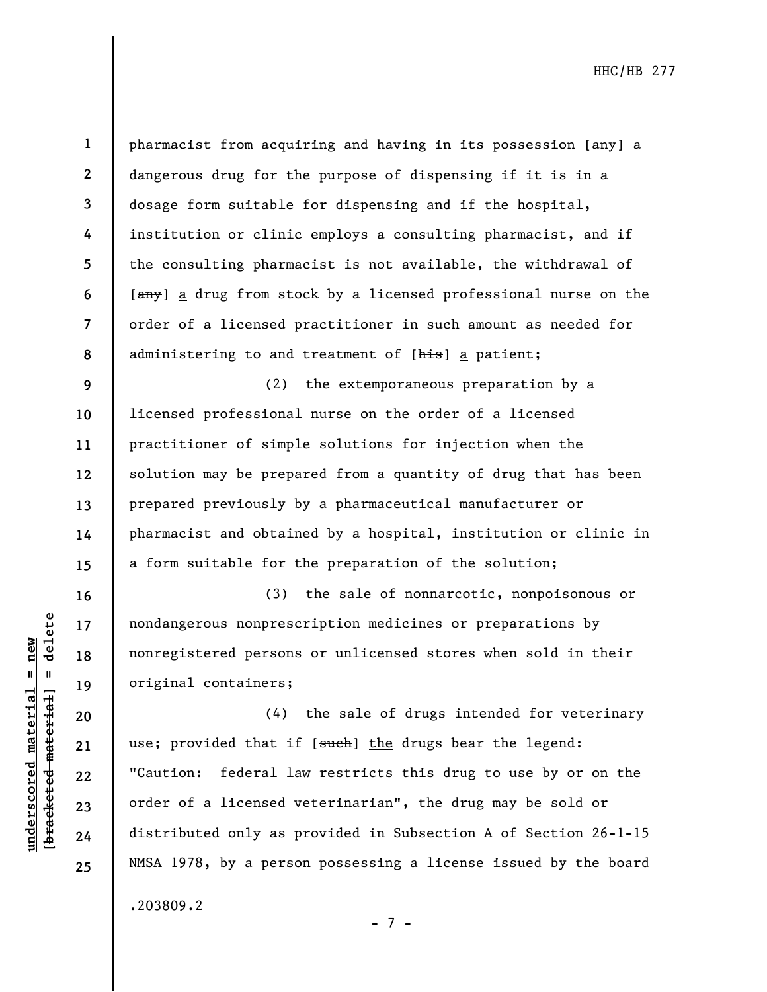$b$ racketed material] = delete **[bracketed material] = delete**  $underscored material = new$ **underscored material = new**

**16** 

**17** 

**18** 

**19** 

**20** 

**21** 

**22** 

**23** 

**24** 

**25** 

**1 2 3 4 5 6 7 8**  pharmacist from acquiring and having in its possession [any] a dangerous drug for the purpose of dispensing if it is in a dosage form suitable for dispensing and if the hospital, institution or clinic employs a consulting pharmacist, and if the consulting pharmacist is not available, the withdrawal of [any] a drug from stock by a licensed professional nurse on the order of a licensed practitioner in such amount as needed for administering to and treatment of [his] a patient;

**9 10 11 12 13 14 15**  (2) the extemporaneous preparation by a licensed professional nurse on the order of a licensed practitioner of simple solutions for injection when the solution may be prepared from a quantity of drug that has been prepared previously by a pharmaceutical manufacturer or pharmacist and obtained by a hospital, institution or clinic in a form suitable for the preparation of the solution;

(3) the sale of nonnarcotic, nonpoisonous or nondangerous nonprescription medicines or preparations by nonregistered persons or unlicensed stores when sold in their original containers;

(4) the sale of drugs intended for veterinary use; provided that if [such] the drugs bear the legend: "Caution: federal law restricts this drug to use by or on the order of a licensed veterinarian", the drug may be sold or distributed only as provided in Subsection A of Section 26-1-15 NMSA 1978, by a person possessing a license issued by the board

.203809.2

- 7 -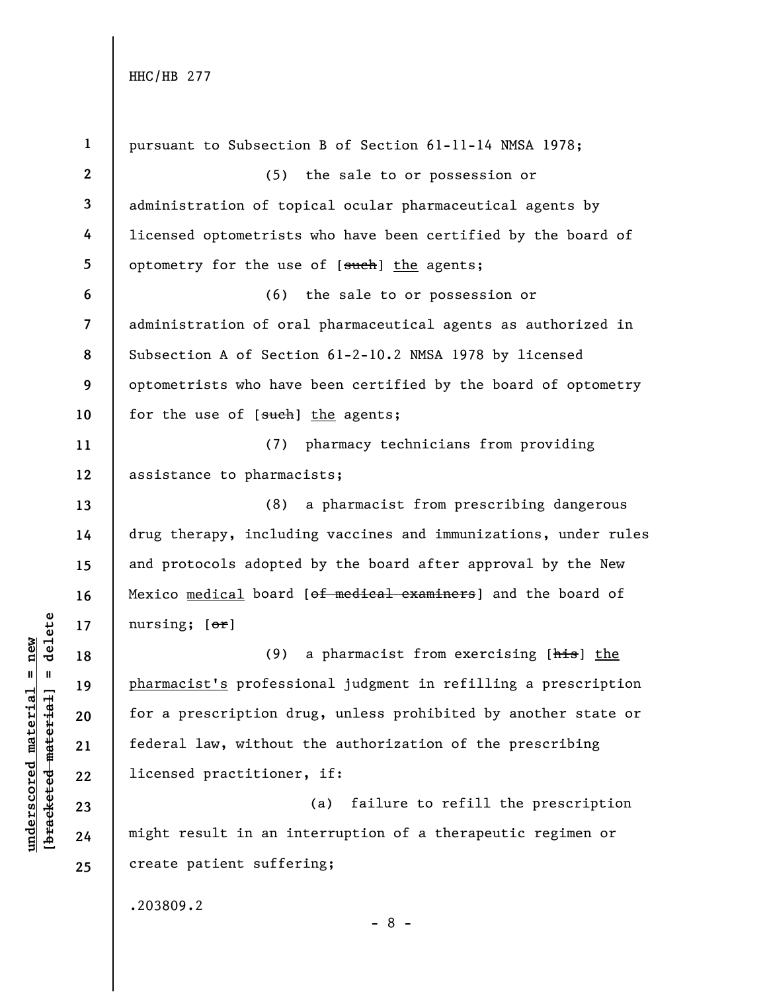| pursuant to Subsection B of Section 61-11-14 NMSA 1978;         |
|-----------------------------------------------------------------|
|                                                                 |
| administration of topical ocular pharmaceutical agents by       |
| licensed optometrists who have been certified by the board of   |
|                                                                 |
|                                                                 |
| administration of oral pharmaceutical agents as authorized in   |
| Subsection A of Section 61-2-10.2 NMSA 1978 by licensed         |
| optometrists who have been certified by the board of optometry  |
|                                                                 |
| pharmacy technicians from providing                             |
|                                                                 |
| a pharmacist from prescribing dangerous                         |
| drug therapy, including vaccines and immunizations, under rules |
| and protocols adopted by the board after approval by the New    |
| Mexico medical board [of medical examiners] and the board of    |
|                                                                 |
| a pharmacist from exercising [his] the                          |
| pharmacist's professional judgment in refilling a prescription  |
| for a prescription drug, unless prohibited by another state or  |
| federal law, without the authorization of the prescribing       |
|                                                                 |
| failure to refill the prescription                              |
| might result in an interruption of a therapeutic regimen or     |
|                                                                 |
|                                                                 |
|                                                                 |

 $\frac{\text{underscored material} = \text{new}}{(\text{bracketed material}) = \text{dev}}$ **[bracketed material] = delete underscored material = new**

- 8 -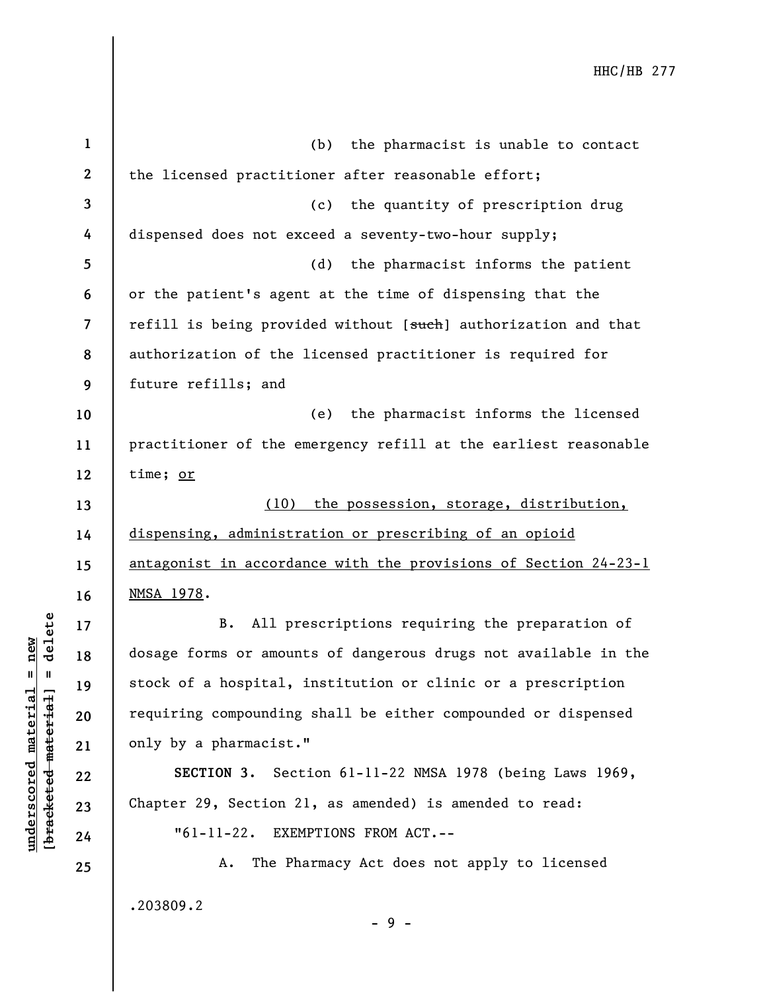| $\mathbf{1}$             | the pharmacist is unable to contact<br>(b)                      |
|--------------------------|-----------------------------------------------------------------|
| $\mathbf{2}$             | the licensed practitioner after reasonable effort;              |
| 3                        | (c) the quantity of prescription drug                           |
| 4                        | dispensed does not exceed a seventy-two-hour supply;            |
| 5                        | (d)<br>the pharmacist informs the patient                       |
| 6                        | or the patient's agent at the time of dispensing that the       |
| $\overline{\phantom{a}}$ | refill is being provided without [such] authorization and that  |
| 8                        | authorization of the licensed practitioner is required for      |
| 9                        | future refills; and                                             |
| 10                       | the pharmacist informs the licensed<br>(e)                      |
| 11                       | practitioner of the emergency refill at the earliest reasonable |
| 12                       | time; or                                                        |
| 13                       | (10) the possession, storage, distribution,                     |
| 14                       | dispensing, administration or prescribing of an opioid          |
| 15                       | antagonist in accordance with the provisions of Section 24-23-1 |
| 16                       | NMSA 1978.                                                      |
| 17                       | All prescriptions requiring the preparation of<br>B.            |
| 18                       | dosage forms or amounts of dangerous drugs not available in the |
| 19                       | stock of a hospital, institution or clinic or a prescription    |
| 20                       | requiring compounding shall be either compounded or dispensed   |
| 21                       | only by a pharmacist."                                          |
| 22                       | SECTION 3. Section 61-11-22 NMSA 1978 (being Laws 1969,         |
| 23                       | Chapter 29, Section 21, as amended) is amended to read:         |
| 24                       | "61-11-22. EXEMPTIONS FROM ACT.--                               |
| 25                       | The Pharmacy Act does not apply to licensed<br>Α.               |
|                          | .203809.2<br>$-9-$                                              |